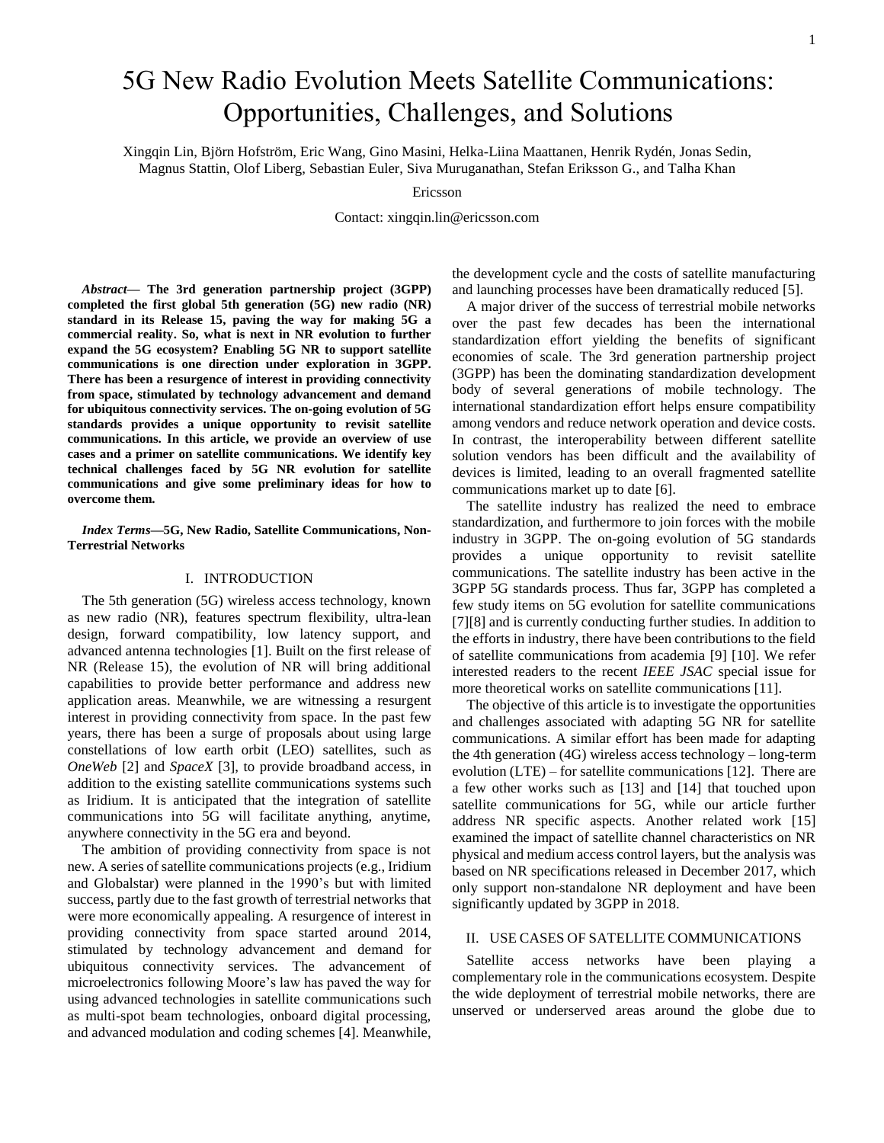# 5G New Radio Evolution Meets Satellite Communications: Opportunities, Challenges, and Solutions

Xingqin Lin, Björn Hofström, Eric Wang, Gino Masini, Helka-Liina Maattanen, Henrik Rydén, Jonas Sedin, Magnus Stattin, Olof Liberg, Sebastian Euler, Siva Muruganathan, Stefan Eriksson G., and Talha Khan

Ericsson

Contact: xingqin.lin@ericsson.com

*Abstract***— The 3rd generation partnership project (3GPP) completed the first global 5th generation (5G) new radio (NR) standard in its Release 15, paving the way for making 5G a commercial reality. So, what is next in NR evolution to further expand the 5G ecosystem? Enabling 5G NR to support satellite communications is one direction under exploration in 3GPP. There has been a resurgence of interest in providing connectivity from space, stimulated by technology advancement and demand for ubiquitous connectivity services. The on-going evolution of 5G standards provides a unique opportunity to revisit satellite communications. In this article, we provide an overview of use cases and a primer on satellite communications. We identify key technical challenges faced by 5G NR evolution for satellite communications and give some preliminary ideas for how to overcome them.**

## *Index Terms***—5G, New Radio, Satellite Communications, Non-Terrestrial Networks**

#### I. INTRODUCTION

The 5th generation (5G) wireless access technology, known as new radio (NR), features spectrum flexibility, ultra-lean design, forward compatibility, low latency support, and advanced antenna technologies [\[1\].](#page-6-0) Built on the first release of NR (Release 15), the evolution of NR will bring additional capabilities to provide better performance and address new application areas. Meanwhile, we are witnessing a resurgent interest in providing connectivity from space. In the past few years, there has been a surge of proposals about using large constellations of low earth orbit (LEO) satellites, such as *OneWeb* [\[2\]](#page-6-1) and *SpaceX* [\[3\],](#page-6-2) to provide broadband access, in addition to the existing satellite communications systems such as Iridium. It is anticipated that the integration of satellite communications into 5G will facilitate anything, anytime, anywhere connectivity in the 5G era and beyond.

The ambition of providing connectivity from space is not new. A series of satellite communications projects (e.g., Iridium and Globalstar) were planned in the 1990's but with limited success, partly due to the fast growth of terrestrial networks that were more economically appealing. A resurgence of interest in providing connectivity from space started around 2014, stimulated by technology advancement and demand for ubiquitous connectivity services. The advancement of microelectronics following Moore's law has paved the way for using advanced technologies in satellite communications such as multi-spot beam technologies, onboard digital processing, and advanced modulation and coding schemes [\[4\].](#page-7-0) Meanwhile,

the development cycle and the costs of satellite manufacturing and launching processes have been dramatically reduced [\[5\].](#page-7-1)

A major driver of the success of terrestrial mobile networks over the past few decades has been the international standardization effort yielding the benefits of significant economies of scale. The 3rd generation partnership project (3GPP) has been the dominating standardization development body of several generations of mobile technology. The international standardization effort helps ensure compatibility among vendors and reduce network operation and device costs. In contrast, the interoperability between different satellite solution vendors has been difficult and the availability of devices is limited, leading to an overall fragmented satellite communications market up to date [\[6\].](#page-7-2)

The satellite industry has realized the need to embrace standardization, and furthermore to join forces with the mobile industry in 3GPP. The on-going evolution of 5G standards provides a unique opportunity to revisit satellite communications. The satellite industry has been active in the 3GPP 5G standards process. Thus far, 3GPP has completed a few study items on 5G evolution for satellite communications [\[7\]](#page-7-3)[\[8\]](#page-7-4) and is currently conducting further studies. In addition to the efforts in industry, there have been contributions to the field of satellite communications from academia [\[9\]](#page-7-5) [\[10\].](#page-7-6) We refer interested readers to the recent *IEEE JSAC* special issue for more theoretical works on satellite communications [\[11\].](#page-7-7)

The objective of this article is to investigate the opportunities and challenges associated with adapting 5G NR for satellite communications. A similar effort has been made for adapting the 4th generation (4G) wireless access technology – long-term evolution (LTE) – for satellite communications [\[12\].](#page-7-8) There are a few other works such as [\[13\]](#page-7-9) and [\[14\]](#page-7-10) that touched upon satellite communications for 5G, while our article further address NR specific aspects. Another related work [\[15\]](#page-7-11) examined the impact of satellite channel characteristics on NR physical and medium access control layers, but the analysis was based on NR specifications released in December 2017, which only support non-standalone NR deployment and have been significantly updated by 3GPP in 2018.

## II. USE CASES OF SATELLITE COMMUNICATIONS

Satellite access networks have been playing a complementary role in the communications ecosystem. Despite the wide deployment of terrestrial mobile networks, there are unserved or underserved areas around the globe due to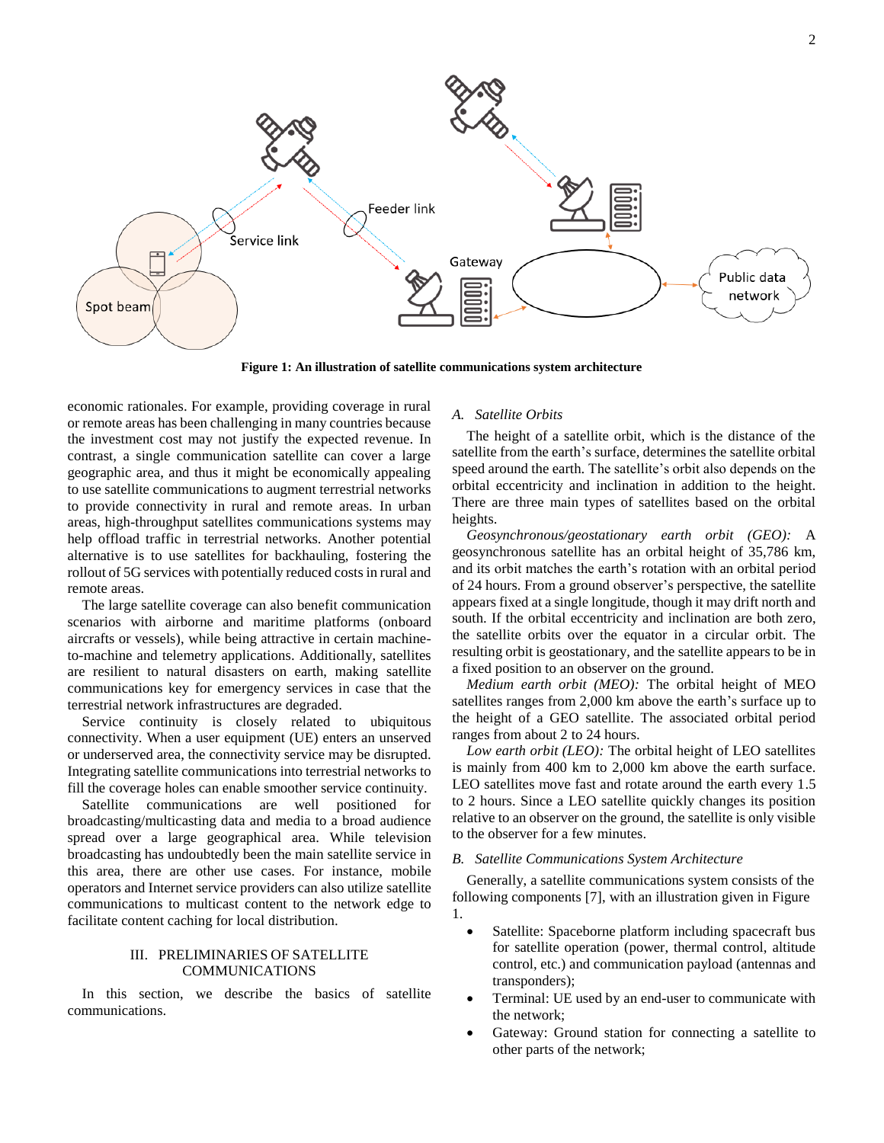

**Figure 1: An illustration of satellite communications system architecture**

economic rationales. For example, providing coverage in rural or remote areas has been challenging in many countries because the investment cost may not justify the expected revenue. In contrast, a single communication satellite can cover a large geographic area, and thus it might be economically appealing to use satellite communications to augment terrestrial networks to provide connectivity in rural and remote areas. In urban areas, high-throughput satellites communications systems may help offload traffic in terrestrial networks. Another potential alternative is to use satellites for backhauling, fostering the rollout of 5G services with potentially reduced costs in rural and remote areas.

The large satellite coverage can also benefit communication scenarios with airborne and maritime platforms (onboard aircrafts or vessels), while being attractive in certain machineto-machine and telemetry applications. Additionally, satellites are resilient to natural disasters on earth, making satellite communications key for emergency services in case that the terrestrial network infrastructures are degraded.

Service continuity is closely related to ubiquitous connectivity. When a user equipment (UE) enters an unserved or underserved area, the connectivity service may be disrupted. Integrating satellite communications into terrestrial networks to fill the coverage holes can enable smoother service continuity.

Satellite communications are well positioned for broadcasting/multicasting data and media to a broad audience spread over a large geographical area. While television broadcasting has undoubtedly been the main satellite service in this area, there are other use cases. For instance, mobile operators and Internet service providers can also utilize satellite communications to multicast content to the network edge to facilitate content caching for local distribution.

## III. PRELIMINARIES OF SATELLITE COMMUNICATIONS

In this section, we describe the basics of satellite communications.

## *A. Satellite Orbits*

The height of a satellite orbit, which is the distance of the satellite from the earth's surface, determines the satellite orbital speed around the earth. The satellite's orbit also depends on the orbital eccentricity and inclination in addition to the height. There are three main types of satellites based on the orbital heights.

*Geosynchronous/geostationary earth orbit (GEO):* A geosynchronous satellite has an orbital height of 35,786 km, and its orbit matches the earth's rotation with an orbital period of 24 hours. From a ground observer's perspective, the satellite appears fixed at a single longitude, though it may drift north and south. If the orbital eccentricity and inclination are both zero, the satellite orbits over the equator in a circular orbit. The resulting orbit is geostationary, and the satellite appears to be in a fixed position to an observer on the ground.

*Medium earth orbit (MEO):* The orbital height of MEO satellites ranges from 2,000 km above the earth's surface up to the height of a GEO satellite. The associated orbital period ranges from about 2 to 24 hours.

*Low earth orbit (LEO):* The orbital height of LEO satellites is mainly from 400 km to 2,000 km above the earth surface. LEO satellites move fast and rotate around the earth every 1.5 to 2 hours. Since a LEO satellite quickly changes its position relative to an observer on the ground, the satellite is only visible to the observer for a few minutes.

#### *B. Satellite Communications System Architecture*

Generally, a satellite communications system consists of the following components [\[7\],](#page-7-3) with an illustration given in Figure 1.

- Satellite: Spaceborne platform including spacecraft bus for satellite operation (power, thermal control, altitude control, etc.) and communication payload (antennas and transponders);
- Terminal: UE used by an end-user to communicate with the network;
- Gateway: Ground station for connecting a satellite to other parts of the network;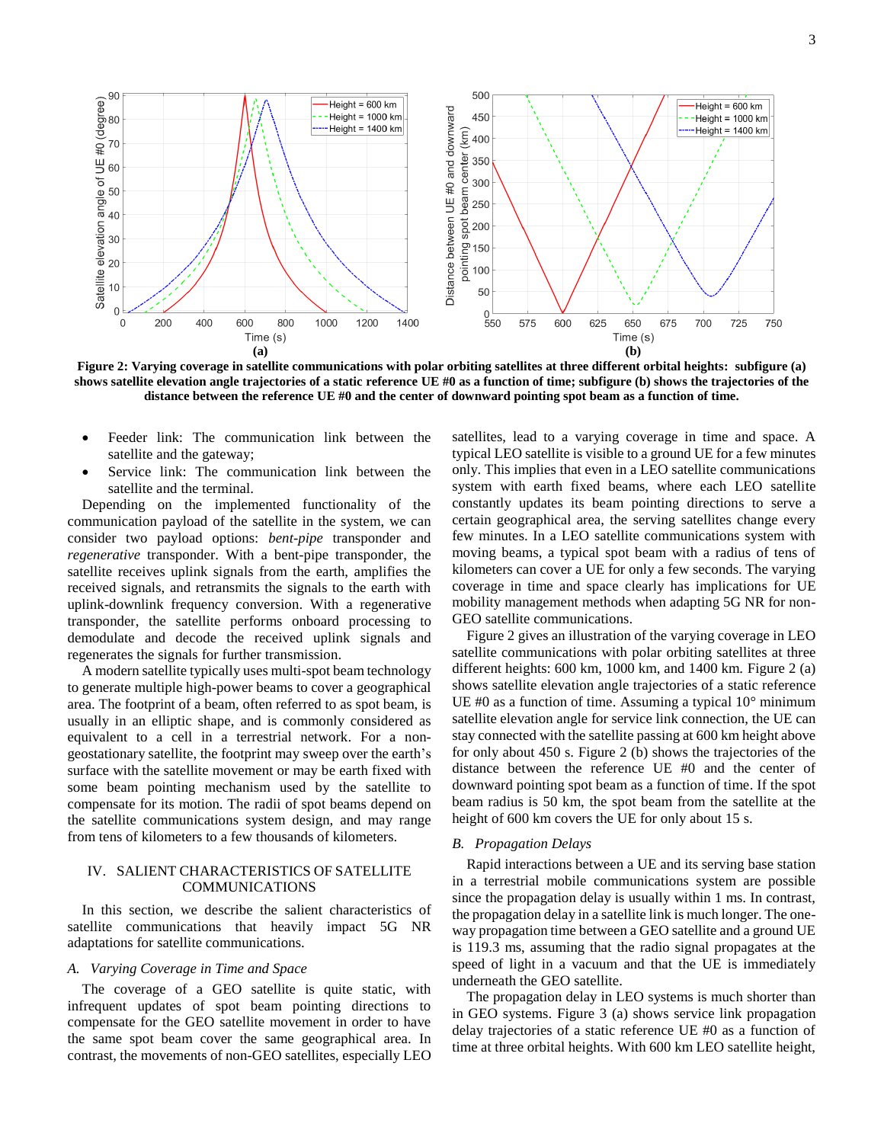

**Figure 2: Varying coverage in satellite communications with polar orbiting satellites at three different orbital heights: subfigure (a) shows satellite elevation angle trajectories of a static reference UE #0 as a function of time; subfigure (b) shows the trajectories of the distance between the reference UE #0 and the center of downward pointing spot beam as a function of time.**

- Feeder link: The communication link between the satellite and the gateway;
- Service link: The communication link between the satellite and the terminal.

Depending on the implemented functionality of the communication payload of the satellite in the system, we can consider two payload options: *bent-pipe* transponder and *regenerative* transponder. With a bent-pipe transponder, the satellite receives uplink signals from the earth, amplifies the received signals, and retransmits the signals to the earth with uplink-downlink frequency conversion. With a regenerative transponder, the satellite performs onboard processing to demodulate and decode the received uplink signals and regenerates the signals for further transmission.

A modern satellite typically uses multi-spot beam technology to generate multiple high-power beams to cover a geographical area. The footprint of a beam, often referred to as spot beam, is usually in an elliptic shape, and is commonly considered as equivalent to a cell in a terrestrial network. For a nongeostationary satellite, the footprint may sweep over the earth's surface with the satellite movement or may be earth fixed with some beam pointing mechanism used by the satellite to compensate for its motion. The radii of spot beams depend on the satellite communications system design, and may range from tens of kilometers to a few thousands of kilometers.

## IV. SALIENT CHARACTERISTICS OF SATELLITE COMMUNICATIONS

In this section, we describe the salient characteristics of satellite communications that heavily impact 5G NR adaptations for satellite communications.

## *A. Varying Coverage in Time and Space*

The coverage of a GEO satellite is quite static, with infrequent updates of spot beam pointing directions to compensate for the GEO satellite movement in order to have the same spot beam cover the same geographical area. In contrast, the movements of non-GEO satellites, especially LEO

satellites, lead to a varying coverage in time and space. A typical LEO satellite is visible to a ground UE for a few minutes only. This implies that even in a LEO satellite communications system with earth fixed beams, where each LEO satellite constantly updates its beam pointing directions to serve a certain geographical area, the serving satellites change every few minutes. In a LEO satellite communications system with moving beams, a typical spot beam with a radius of tens of kilometers can cover a UE for only a few seconds. The varying coverage in time and space clearly has implications for UE mobility management methods when adapting 5G NR for non-GEO satellite communications.

Figure 2 gives an illustration of the varying coverage in LEO satellite communications with polar orbiting satellites at three different heights: 600 km, 1000 km, and 1400 km. Figure 2 (a) shows satellite elevation angle trajectories of a static reference UE #0 as a function of time. Assuming a typical  $10^{\circ}$  minimum satellite elevation angle for service link connection, the UE can stay connected with the satellite passing at 600 km height above for only about 450 s. Figure 2 (b) shows the trajectories of the distance between the reference UE #0 and the center of downward pointing spot beam as a function of time. If the spot beam radius is 50 km, the spot beam from the satellite at the height of 600 km covers the UE for only about 15 s.

#### *B. Propagation Delays*

Rapid interactions between a UE and its serving base station in a terrestrial mobile communications system are possible since the propagation delay is usually within 1 ms. In contrast, the propagation delay in a satellite link is much longer. The oneway propagation time between a GEO satellite and a ground UE is 119.3 ms, assuming that the radio signal propagates at the speed of light in a vacuum and that the UE is immediately underneath the GEO satellite.

The propagation delay in LEO systems is much shorter than in GEO systems. Figure 3 (a) shows service link propagation delay trajectories of a static reference UE #0 as a function of time at three orbital heights. With 600 km LEO satellite height,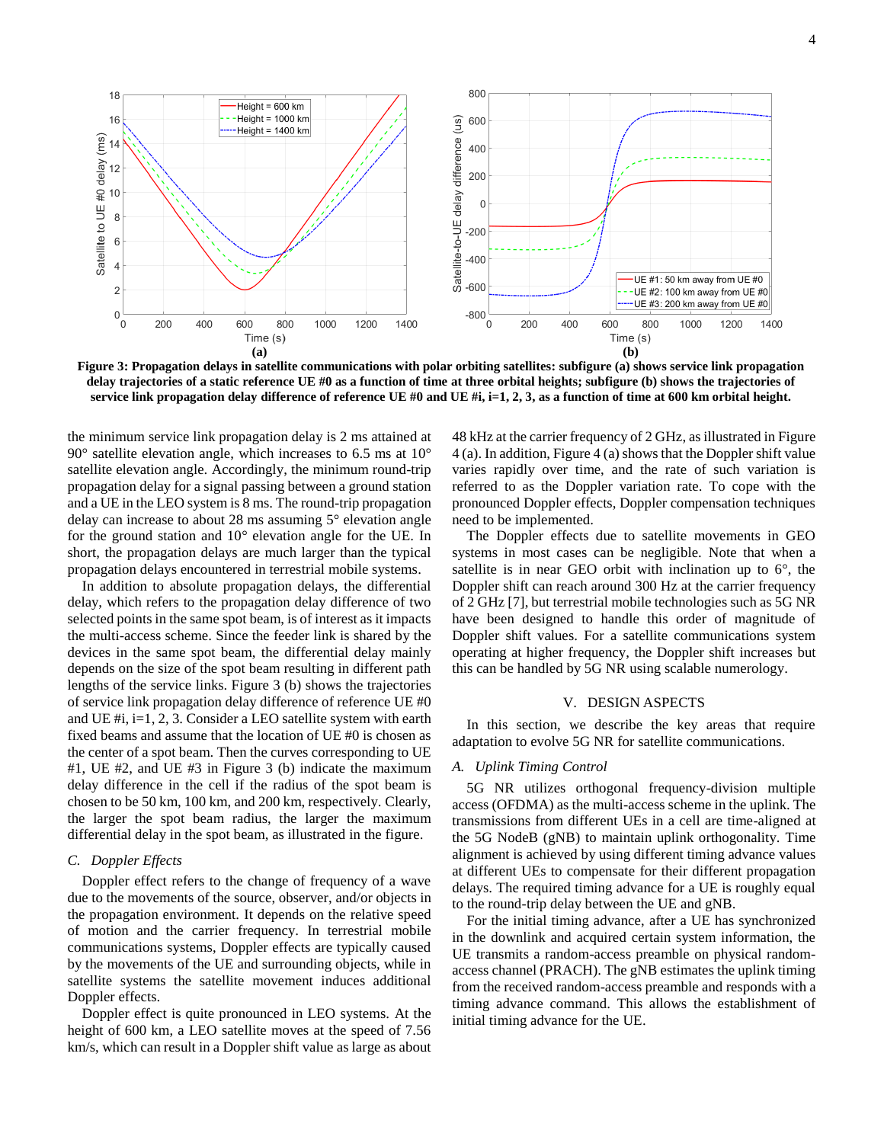

**Figure 3: Propagation delays in satellite communications with polar orbiting satellites: subfigure (a) shows service link propagation delay trajectories of a static reference UE #0 as a function of time at three orbital heights; subfigure (b) shows the trajectories of service link propagation delay difference of reference UE #0 and UE #i, i=1, 2, 3, as a function of time at 600 km orbital height.**

the minimum service link propagation delay is 2 ms attained at  $90^\circ$  satellite elevation angle, which increases to 6.5 ms at  $10^\circ$ satellite elevation angle. Accordingly, the minimum round-trip propagation delay for a signal passing between a ground station and a UE in the LEO system is 8 ms. The round-trip propagation delay can increase to about 28 ms assuming 5° elevation angle for the ground station and 10° elevation angle for the UE. In short, the propagation delays are much larger than the typical propagation delays encountered in terrestrial mobile systems.

In addition to absolute propagation delays, the differential delay, which refers to the propagation delay difference of two selected points in the same spot beam, is of interest as it impacts the multi-access scheme. Since the feeder link is shared by the devices in the same spot beam, the differential delay mainly depends on the size of the spot beam resulting in different path lengths of the service links. Figure 3 (b) shows the trajectories of service link propagation delay difference of reference UE #0 and UE #i, i=1, 2, 3. Consider a LEO satellite system with earth fixed beams and assume that the location of UE #0 is chosen as the center of a spot beam. Then the curves corresponding to UE #1, UE #2, and UE #3 in Figure 3 (b) indicate the maximum delay difference in the cell if the radius of the spot beam is chosen to be 50 km, 100 km, and 200 km, respectively. Clearly, the larger the spot beam radius, the larger the maximum differential delay in the spot beam, as illustrated in the figure.

## *C. Doppler Effects*

Doppler effect refers to the change of frequency of a wave due to the movements of the source, observer, and/or objects in the propagation environment. It depends on the relative speed of motion and the carrier frequency. In terrestrial mobile communications systems, Doppler effects are typically caused by the movements of the UE and surrounding objects, while in satellite systems the satellite movement induces additional Doppler effects.

Doppler effect is quite pronounced in LEO systems. At the height of 600 km, a LEO satellite moves at the speed of 7.56 km/s, which can result in a Doppler shift value as large as about 48 kHz at the carrier frequency of 2 GHz, as illustrated in Figure 4 (a). In addition, Figure 4 (a) shows that the Doppler shift value varies rapidly over time, and the rate of such variation is referred to as the Doppler variation rate. To cope with the pronounced Doppler effects, Doppler compensation techniques need to be implemented.

The Doppler effects due to satellite movements in GEO systems in most cases can be negligible. Note that when a satellite is in near GEO orbit with inclination up to  $6^\circ$ , the Doppler shift can reach around 300 Hz at the carrier frequency of 2 GHz [\[7\],](#page-7-3) but terrestrial mobile technologies such as 5G NR have been designed to handle this order of magnitude of Doppler shift values. For a satellite communications system operating at higher frequency, the Doppler shift increases but this can be handled by 5G NR using scalable numerology.

#### V. DESIGN ASPECTS

In this section, we describe the key areas that require adaptation to evolve 5G NR for satellite communications.

#### *A. Uplink Timing Control*

5G NR utilizes orthogonal frequency-division multiple access (OFDMA) as the multi-access scheme in the uplink. The transmissions from different UEs in a cell are time-aligned at the 5G NodeB (gNB) to maintain uplink orthogonality. Time alignment is achieved by using different timing advance values at different UEs to compensate for their different propagation delays. The required timing advance for a UE is roughly equal to the round-trip delay between the UE and gNB.

For the initial timing advance, after a UE has synchronized in the downlink and acquired certain system information, the UE transmits a random-access preamble on physical randomaccess channel (PRACH). The gNB estimates the uplink timing from the received random-access preamble and responds with a timing advance command. This allows the establishment of initial timing advance for the UE.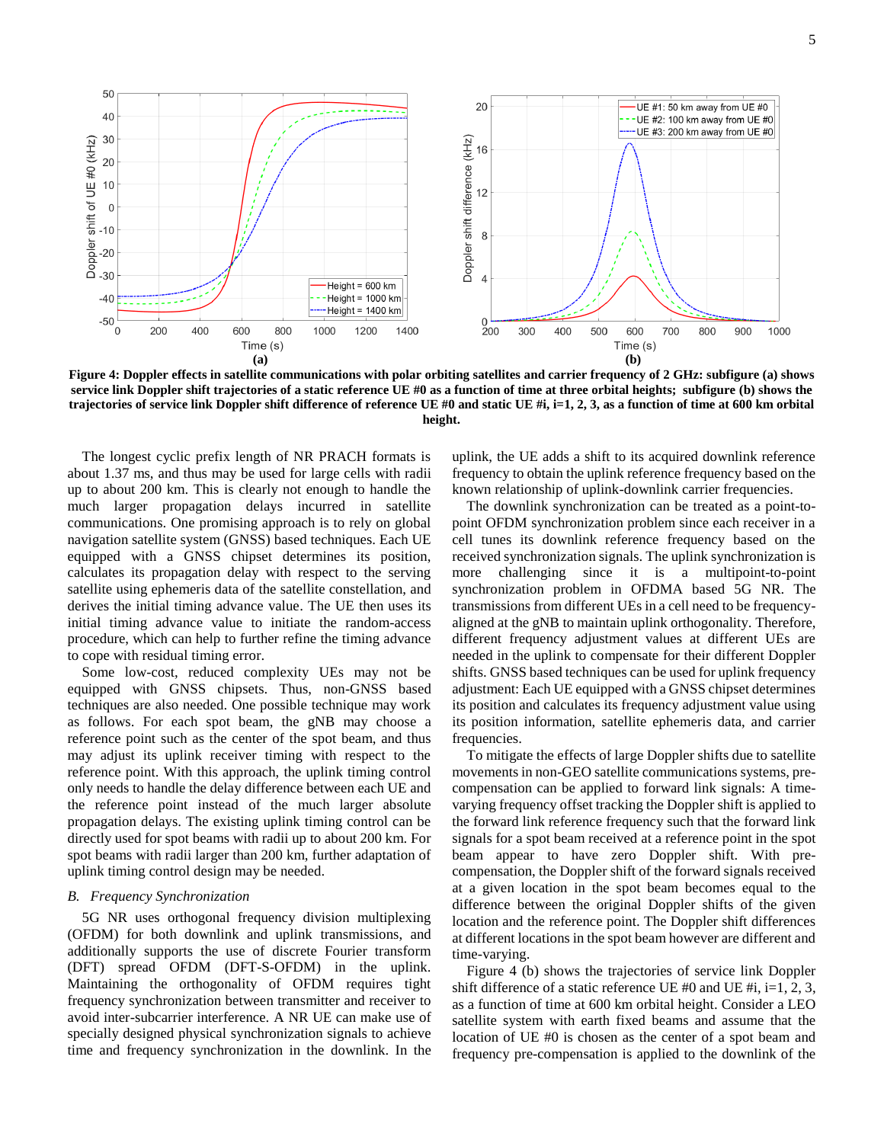

**Figure 4: Doppler effects in satellite communications with polar orbiting satellites and carrier frequency of 2 GHz: subfigure (a) shows service link Doppler shift trajectories of a static reference UE #0 as a function of time at three orbital heights; subfigure (b) shows the trajectories of service link Doppler shift difference of reference UE #0 and static UE #i, i=1, 2, 3, as a function of time at 600 km orbital height.**

The longest cyclic prefix length of NR PRACH formats is about 1.37 ms, and thus may be used for large cells with radii up to about 200 km. This is clearly not enough to handle the much larger propagation delays incurred in satellite communications. One promising approach is to rely on global navigation satellite system (GNSS) based techniques. Each UE equipped with a GNSS chipset determines its position, calculates its propagation delay with respect to the serving satellite using ephemeris data of the satellite constellation, and derives the initial timing advance value. The UE then uses its initial timing advance value to initiate the random-access procedure, which can help to further refine the timing advance to cope with residual timing error.

Some low-cost, reduced complexity UEs may not be equipped with GNSS chipsets. Thus, non-GNSS based techniques are also needed. One possible technique may work as follows. For each spot beam, the gNB may choose a reference point such as the center of the spot beam, and thus may adjust its uplink receiver timing with respect to the reference point. With this approach, the uplink timing control only needs to handle the delay difference between each UE and the reference point instead of the much larger absolute propagation delays. The existing uplink timing control can be directly used for spot beams with radii up to about 200 km. For spot beams with radii larger than 200 km, further adaptation of uplink timing control design may be needed.

## *B. Frequency Synchronization*

5G NR uses orthogonal frequency division multiplexing (OFDM) for both downlink and uplink transmissions, and additionally supports the use of discrete Fourier transform (DFT) spread OFDM (DFT-S-OFDM) in the uplink. Maintaining the orthogonality of OFDM requires tight frequency synchronization between transmitter and receiver to avoid inter-subcarrier interference. A NR UE can make use of specially designed physical synchronization signals to achieve time and frequency synchronization in the downlink. In the

uplink, the UE adds a shift to its acquired downlink reference frequency to obtain the uplink reference frequency based on the known relationship of uplink-downlink carrier frequencies.

The downlink synchronization can be treated as a point-topoint OFDM synchronization problem since each receiver in a cell tunes its downlink reference frequency based on the received synchronization signals. The uplink synchronization is more challenging since it is a multipoint-to-point synchronization problem in OFDMA based 5G NR. The transmissions from different UEs in a cell need to be frequencyaligned at the gNB to maintain uplink orthogonality. Therefore, different frequency adjustment values at different UEs are needed in the uplink to compensate for their different Doppler shifts. GNSS based techniques can be used for uplink frequency adjustment: Each UE equipped with a GNSS chipset determines its position and calculates its frequency adjustment value using its position information, satellite ephemeris data, and carrier frequencies.

To mitigate the effects of large Doppler shifts due to satellite movements in non-GEO satellite communications systems, precompensation can be applied to forward link signals: A timevarying frequency offset tracking the Doppler shift is applied to the forward link reference frequency such that the forward link signals for a spot beam received at a reference point in the spot beam appear to have zero Doppler shift. With precompensation, the Doppler shift of the forward signals received at a given location in the spot beam becomes equal to the difference between the original Doppler shifts of the given location and the reference point. The Doppler shift differences at different locations in the spot beam however are different and time-varying.

Figure 4 (b) shows the trajectories of service link Doppler shift difference of a static reference UE #0 and UE #i, i=1, 2, 3, as a function of time at 600 km orbital height. Consider a LEO satellite system with earth fixed beams and assume that the location of UE #0 is chosen as the center of a spot beam and frequency pre-compensation is applied to the downlink of the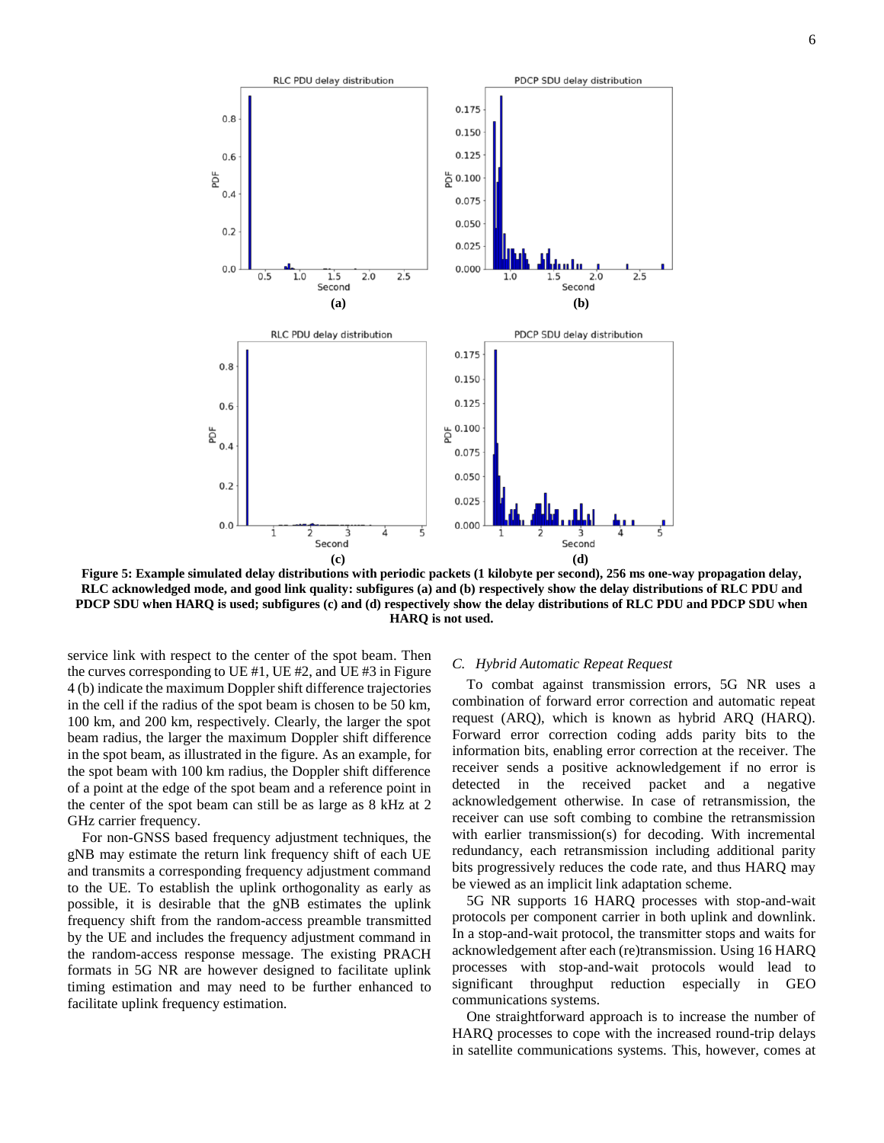

0.175

0.150 0.125

RLC PDU delay distribution

 $0.8$ 

 $0.6$ 

**Figure 5: Example simulated delay distributions with periodic packets (1 kilobyte per second), 256 ms one-way propagation delay, RLC acknowledged mode, and good link quality: subfigures (a) and (b) respectively show the delay distributions of RLC PDU and PDCP SDU when HARQ is used; subfigures (c) and (d) respectively show the delay distributions of RLC PDU and PDCP SDU when HARQ is not used.**

service link with respect to the center of the spot beam. Then the curves corresponding to UE #1, UE #2, and UE #3 in Figure 4 (b) indicate the maximum Doppler shift difference trajectories in the cell if the radius of the spot beam is chosen to be 50 km, 100 km, and 200 km, respectively. Clearly, the larger the spot beam radius, the larger the maximum Doppler shift difference in the spot beam, as illustrated in the figure. As an example, for the spot beam with 100 km radius, the Doppler shift difference of a point at the edge of the spot beam and a reference point in the center of the spot beam can still be as large as 8 kHz at 2 GHz carrier frequency.

For non-GNSS based frequency adjustment techniques, the gNB may estimate the return link frequency shift of each UE and transmits a corresponding frequency adjustment command to the UE. To establish the uplink orthogonality as early as possible, it is desirable that the gNB estimates the uplink frequency shift from the random-access preamble transmitted by the UE and includes the frequency adjustment command in the random-access response message. The existing PRACH formats in 5G NR are however designed to facilitate uplink timing estimation and may need to be further enhanced to facilitate uplink frequency estimation.

## *C. Hybrid Automatic Repeat Request*

To combat against transmission errors, 5G NR uses a combination of forward error correction and automatic repeat request (ARQ), which is known as hybrid ARQ (HARQ). Forward error correction coding adds parity bits to the information bits, enabling error correction at the receiver. The receiver sends a positive acknowledgement if no error is detected in the received packet and a negative acknowledgement otherwise. In case of retransmission, the receiver can use soft combing to combine the retransmission with earlier transmission(s) for decoding. With incremental redundancy, each retransmission including additional parity bits progressively reduces the code rate, and thus HARQ may be viewed as an implicit link adaptation scheme.

5G NR supports 16 HARQ processes with stop-and-wait protocols per component carrier in both uplink and downlink. In a stop-and-wait protocol, the transmitter stops and waits for acknowledgement after each (re)transmission. Using 16 HARQ processes with stop-and-wait protocols would lead to significant throughput reduction especially in GEO communications systems.

One straightforward approach is to increase the number of HARQ processes to cope with the increased round-trip delays in satellite communications systems. This, however, comes at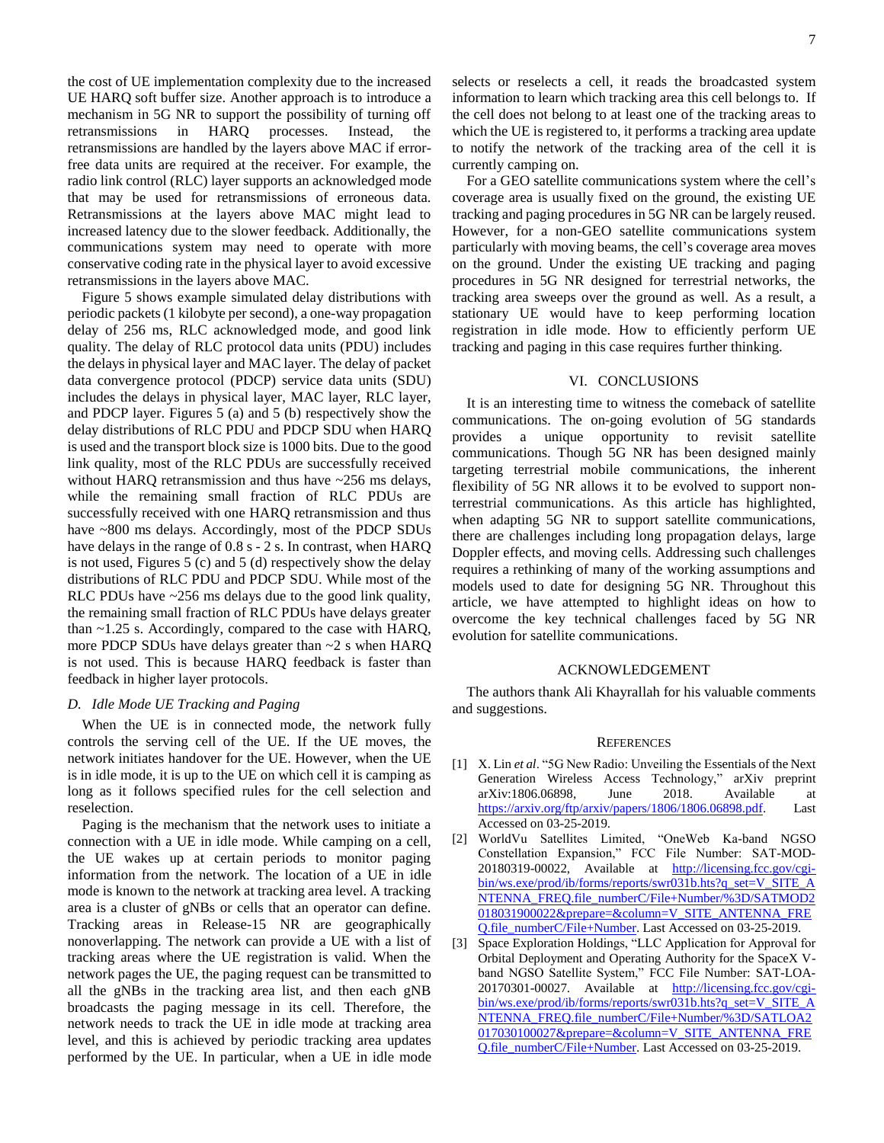the cost of UE implementation complexity due to the increased UE HARQ soft buffer size. Another approach is to introduce a mechanism in 5G NR to support the possibility of turning off retransmissions in HARQ processes. Instead, the retransmissions are handled by the layers above MAC if errorfree data units are required at the receiver. For example, the radio link control (RLC) layer supports an acknowledged mode that may be used for retransmissions of erroneous data. Retransmissions at the layers above MAC might lead to increased latency due to the slower feedback. Additionally, the communications system may need to operate with more conservative coding rate in the physical layer to avoid excessive retransmissions in the layers above MAC.

Figure 5 shows example simulated delay distributions with periodic packets (1 kilobyte per second), a one-way propagation delay of 256 ms, RLC acknowledged mode, and good link quality. The delay of RLC protocol data units (PDU) includes the delays in physical layer and MAC layer. The delay of packet data convergence protocol (PDCP) service data units (SDU) includes the delays in physical layer, MAC layer, RLC layer, and PDCP layer. Figures 5 (a) and 5 (b) respectively show the delay distributions of RLC PDU and PDCP SDU when HARQ is used and the transport block size is 1000 bits. Due to the good link quality, most of the RLC PDUs are successfully received without HARQ retransmission and thus have ~256 ms delays, while the remaining small fraction of RLC PDUs are successfully received with one HARQ retransmission and thus have ~800 ms delays. Accordingly, most of the PDCP SDUs have delays in the range of 0.8 s - 2 s. In contrast, when HARQ is not used, Figures 5 (c) and 5 (d) respectively show the delay distributions of RLC PDU and PDCP SDU. While most of the RLC PDUs have ~256 ms delays due to the good link quality, the remaining small fraction of RLC PDUs have delays greater than ~1.25 s. Accordingly, compared to the case with HARQ, more PDCP SDUs have delays greater than ~2 s when HARQ is not used. This is because HARQ feedback is faster than feedback in higher layer protocols.

## *D. Idle Mode UE Tracking and Paging*

When the UE is in connected mode, the network fully controls the serving cell of the UE. If the UE moves, the network initiates handover for the UE. However, when the UE is in idle mode, it is up to the UE on which cell it is camping as long as it follows specified rules for the cell selection and reselection.

Paging is the mechanism that the network uses to initiate a connection with a UE in idle mode. While camping on a cell, the UE wakes up at certain periods to monitor paging information from the network. The location of a UE in idle mode is known to the network at tracking area level. A tracking area is a cluster of gNBs or cells that an operator can define. Tracking areas in Release-15 NR are geographically nonoverlapping. The network can provide a UE with a list of tracking areas where the UE registration is valid. When the network pages the UE, the paging request can be transmitted to all the gNBs in the tracking area list, and then each gNB broadcasts the paging message in its cell. Therefore, the network needs to track the UE in idle mode at tracking area level, and this is achieved by periodic tracking area updates performed by the UE. In particular, when a UE in idle mode selects or reselects a cell, it reads the broadcasted system information to learn which tracking area this cell belongs to. If the cell does not belong to at least one of the tracking areas to which the UE is registered to, it performs a tracking area update to notify the network of the tracking area of the cell it is currently camping on.

For a GEO satellite communications system where the cell's coverage area is usually fixed on the ground, the existing UE tracking and paging procedures in 5G NR can be largely reused. However, for a non-GEO satellite communications system particularly with moving beams, the cell's coverage area moves on the ground. Under the existing UE tracking and paging procedures in 5G NR designed for terrestrial networks, the tracking area sweeps over the ground as well. As a result, a stationary UE would have to keep performing location registration in idle mode. How to efficiently perform UE tracking and paging in this case requires further thinking.

#### VI. CONCLUSIONS

It is an interesting time to witness the comeback of satellite communications. The on-going evolution of 5G standards provides a unique opportunity to revisit satellite communications. Though 5G NR has been designed mainly targeting terrestrial mobile communications, the inherent flexibility of 5G NR allows it to be evolved to support nonterrestrial communications. As this article has highlighted, when adapting 5G NR to support satellite communications, there are challenges including long propagation delays, large Doppler effects, and moving cells. Addressing such challenges requires a rethinking of many of the working assumptions and models used to date for designing 5G NR. Throughout this article, we have attempted to highlight ideas on how to overcome the key technical challenges faced by 5G NR evolution for satellite communications.

#### ACKNOWLEDGEMENT

The authors thank Ali Khayrallah for his valuable comments and suggestions.

#### **REFERENCES**

- <span id="page-6-0"></span>[1] X. Lin *et al*. "5G New Radio: Unveiling the Essentials of the Next Generation Wireless Access Technology," arXiv preprint arXiv:1806.06898, June 2018. Available at [https://arxiv.org/ftp/arxiv/papers/1806/1806.06898.pdf.](https://arxiv.org/ftp/arxiv/papers/1806/1806.06898.pdf) Last Accessed on 03-25-2019.
- <span id="page-6-1"></span>[2] WorldVu Satellites Limited, "OneWeb Ka-band NGSO Constellation Expansion," FCC File Number: SAT-MOD-20180319-00022, Available at [http://licensing.fcc.gov/cgi](http://licensing.fcc.gov/cgi-bin/ws.exe/prod/ib/forms/reports/swr031b.hts?q_set=V_SITE_ANTENNA_FREQ.file_numberC/File+Number/%3D/SATMOD2018031900022&prepare=&column=V_SITE_ANTENNA_FREQ.file_numberC/File+Number)[bin/ws.exe/prod/ib/forms/reports/swr031b.hts?q\\_set=V\\_SITE\\_A](http://licensing.fcc.gov/cgi-bin/ws.exe/prod/ib/forms/reports/swr031b.hts?q_set=V_SITE_ANTENNA_FREQ.file_numberC/File+Number/%3D/SATMOD2018031900022&prepare=&column=V_SITE_ANTENNA_FREQ.file_numberC/File+Number) [NTENNA\\_FREQ.file\\_numberC/File+Number/%3D/SATMOD2](http://licensing.fcc.gov/cgi-bin/ws.exe/prod/ib/forms/reports/swr031b.hts?q_set=V_SITE_ANTENNA_FREQ.file_numberC/File+Number/%3D/SATMOD2018031900022&prepare=&column=V_SITE_ANTENNA_FREQ.file_numberC/File+Number) [018031900022&prepare=&column=V\\_SITE\\_ANTENNA\\_FRE](http://licensing.fcc.gov/cgi-bin/ws.exe/prod/ib/forms/reports/swr031b.hts?q_set=V_SITE_ANTENNA_FREQ.file_numberC/File+Number/%3D/SATMOD2018031900022&prepare=&column=V_SITE_ANTENNA_FREQ.file_numberC/File+Number) O.file\_numberC/File+Number. Last Accessed on 03-25-2019.
- <span id="page-6-2"></span>[3] Space Exploration Holdings, "LLC Application for Approval for Orbital Deployment and Operating Authority for the SpaceX Vband NGSO Satellite System," FCC File Number: SAT-LOA-20170301-00027. Available at [http://licensing.fcc.gov/cgi](http://licensing.fcc.gov/cgi-bin/ws.exe/prod/ib/forms/reports/swr031b.hts?q_set=V_SITE_ANTENNA_FREQ.file_numberC/File+Number/%3D/SATLOA2017030100027&prepare=&column=V_SITE_ANTENNA_FREQ.file_numberC/File+Number)[bin/ws.exe/prod/ib/forms/reports/swr031b.hts?q\\_set=V\\_SITE\\_A](http://licensing.fcc.gov/cgi-bin/ws.exe/prod/ib/forms/reports/swr031b.hts?q_set=V_SITE_ANTENNA_FREQ.file_numberC/File+Number/%3D/SATLOA2017030100027&prepare=&column=V_SITE_ANTENNA_FREQ.file_numberC/File+Number) [NTENNA\\_FREQ.file\\_numberC/File+Number/%3D/SATLOA2](http://licensing.fcc.gov/cgi-bin/ws.exe/prod/ib/forms/reports/swr031b.hts?q_set=V_SITE_ANTENNA_FREQ.file_numberC/File+Number/%3D/SATLOA2017030100027&prepare=&column=V_SITE_ANTENNA_FREQ.file_numberC/File+Number) [017030100027&prepare=&column=V\\_SITE\\_ANTENNA\\_FRE](http://licensing.fcc.gov/cgi-bin/ws.exe/prod/ib/forms/reports/swr031b.hts?q_set=V_SITE_ANTENNA_FREQ.file_numberC/File+Number/%3D/SATLOA2017030100027&prepare=&column=V_SITE_ANTENNA_FREQ.file_numberC/File+Number) [Q.file\\_numberC/File+Number.](http://licensing.fcc.gov/cgi-bin/ws.exe/prod/ib/forms/reports/swr031b.hts?q_set=V_SITE_ANTENNA_FREQ.file_numberC/File+Number/%3D/SATLOA2017030100027&prepare=&column=V_SITE_ANTENNA_FREQ.file_numberC/File+Number) Last Accessed on 03-25-2019.